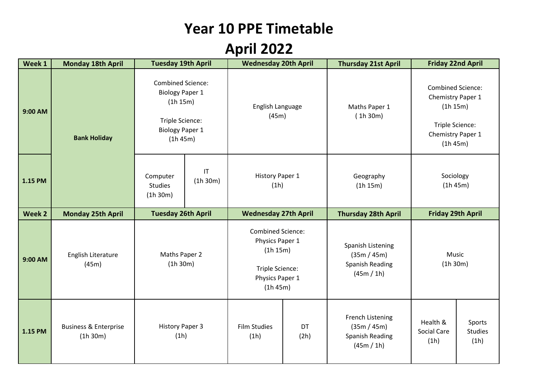## **Year 10 PPE Timetable**

## **April 2022**

| Week 1  | <b>Monday 18th April</b>                     | <b>Tuesday 19th April</b>                                                                                               |                                    | <b>Wednesday 20th April</b>                                                                               |            | <b>Thursday 21st April</b>                                               | <b>Friday 22nd April</b>                                                                                      |                                  |
|---------|----------------------------------------------|-------------------------------------------------------------------------------------------------------------------------|------------------------------------|-----------------------------------------------------------------------------------------------------------|------------|--------------------------------------------------------------------------|---------------------------------------------------------------------------------------------------------------|----------------------------------|
| 9:00 AM | <b>Bank Holiday</b>                          | <b>Combined Science:</b><br><b>Biology Paper 1</b><br>(1h 15m)<br>Triple Science:<br><b>Biology Paper 1</b><br>(1h 45m) |                                    | English Language<br>(45m)                                                                                 |            | Maths Paper 1<br>(1h30m)                                                 | <b>Combined Science:</b><br>Chemistry Paper 1<br>(1h 15m)<br>Triple Science:<br>Chemistry Paper 1<br>(1h 45m) |                                  |
| 1.15 PM |                                              | Computer<br><b>Studies</b><br>(1h 30m)                                                                                  | $\mathsf{I}\mathsf{T}$<br>(1h 30m) | History Paper 1<br>(1h)                                                                                   |            | Geography<br>(1h 15m)                                                    | Sociology<br>(1h 45m)                                                                                         |                                  |
| Week 2  | <b>Monday 25th April</b>                     | <b>Tuesday 26th April</b>                                                                                               |                                    | <b>Wednesday 27th April</b>                                                                               |            | <b>Thursday 28th April</b>                                               | <b>Friday 29th April</b>                                                                                      |                                  |
| 9:00 AM | English Literature<br>(45m)                  | Maths Paper 2<br>(1h 30m)                                                                                               |                                    | <b>Combined Science:</b><br>Physics Paper 1<br>(1h 15m)<br>Triple Science:<br>Physics Paper 1<br>(1h 45m) |            | Spanish Listening<br>(35m / 45m)<br><b>Spanish Reading</b><br>(45m / 1h) | Music<br>(1h 30m)                                                                                             |                                  |
| 1.15 PM | <b>Business &amp; Enterprise</b><br>(1h 30m) | <b>History Paper 3</b><br>(1h)                                                                                          |                                    | <b>Film Studies</b><br>(1h)                                                                               | DT<br>(2h) | French Listening<br>(35m / 45m)<br><b>Spanish Reading</b><br>(45m / 1h)  | Health &<br><b>Social Care</b><br>(1h)                                                                        | Sports<br><b>Studies</b><br>(1h) |